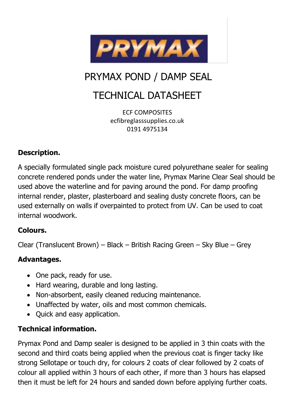

# PRYMAX POND / DAMP SEAL

# TECHNICAL DATASHEET

ECF COMPOSITES ecfibreglasssupplies.co.uk [0191 49751](tel:+44(0)1209)34

### **Description.**

A specially formulated single pack moisture cured polyurethane sealer for sealing concrete rendered ponds under the water line, Prymax Marine Clear Seal should be used above the waterline and for paving around the pond. For damp proofing internal render, plaster, plasterboard and sealing dusty concrete floors, can be used externally on walls if overpainted to protect from UV. Can be used to coat internal woodwork.

#### **Colours.**

Clear (Translucent Brown) – Black – British Racing Green – Sky Blue – Grey

#### **Advantages.**

- One pack, ready for use.
- Hard wearing, durable and long lasting.
- Non-absorbent, easily cleaned reducing maintenance.
- Unaffected by water, oils and most common chemicals.
- Quick and easy application.

#### **Technical information.**

Prymax Pond and Damp sealer is designed to be applied in 3 thin coats with the second and third coats being applied when the previous coat is finger tacky like strong Sellotape or touch dry, for colours 2 coats of clear followed by 2 coats of colour all applied within 3 hours of each other, if more than 3 hours has elapsed then it must be left for 24 hours and sanded down before applying further coats.